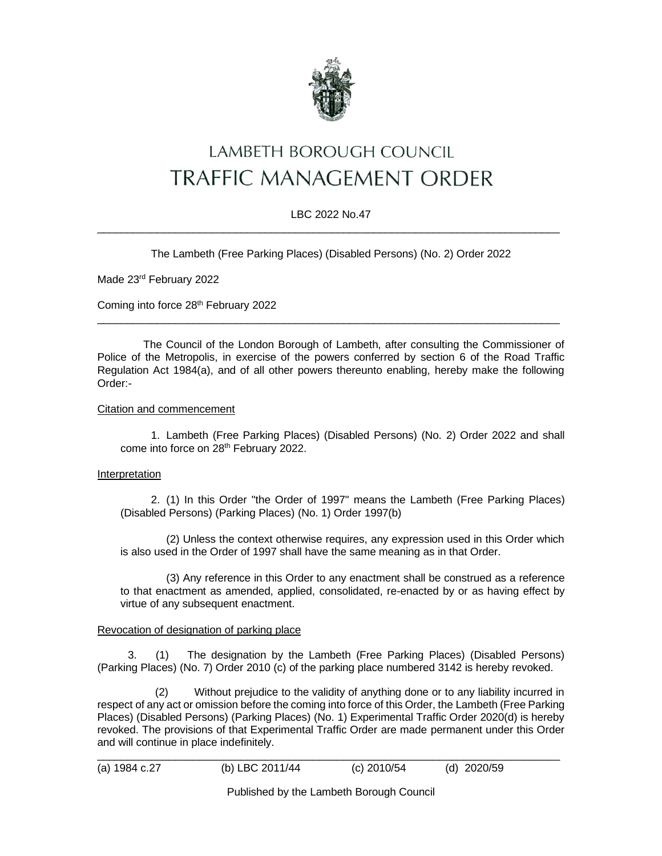

# LAMBETH BOROUGH COUNCIL TRAFFIC MANAGEMENT ORDER

### LBC 2022 No.47  $\_$  ,  $\_$  ,  $\_$  ,  $\_$  ,  $\_$  ,  $\_$  ,  $\_$  ,  $\_$  ,  $\_$  ,  $\_$  ,  $\_$  ,  $\_$  ,  $\_$  ,  $\_$  ,  $\_$  ,  $\_$  ,  $\_$  ,  $\_$  ,  $\_$  ,  $\_$  ,  $\_$  ,  $\_$  ,  $\_$  ,  $\_$  ,  $\_$  ,  $\_$  ,  $\_$  ,  $\_$  ,  $\_$  ,  $\_$  ,  $\_$  ,  $\_$  ,  $\_$  ,  $\_$  ,  $\_$  ,  $\_$  ,  $\_$  ,

The Lambeth (Free Parking Places) (Disabled Persons) (No. 2) Order 2022

Made 23rd February 2022

Coming into force 28<sup>th</sup> February 2022

The Council of the London Borough of Lambeth, after consulting the Commissioner of Police of the Metropolis, in exercise of the powers conferred by section 6 of the Road Traffic Regulation Act 1984(a), and of all other powers thereunto enabling, hereby make the following Order:-

 $\_$  ,  $\_$  ,  $\_$  ,  $\_$  ,  $\_$  ,  $\_$  ,  $\_$  ,  $\_$  ,  $\_$  ,  $\_$  ,  $\_$  ,  $\_$  ,  $\_$  ,  $\_$  ,  $\_$  ,  $\_$  ,  $\_$  ,  $\_$  ,  $\_$  ,  $\_$  ,  $\_$  ,  $\_$  ,  $\_$  ,  $\_$  ,  $\_$  ,  $\_$  ,  $\_$  ,  $\_$  ,  $\_$  ,  $\_$  ,  $\_$  ,  $\_$  ,  $\_$  ,  $\_$  ,  $\_$  ,  $\_$  ,  $\_$  ,

#### Citation and commencement

1. Lambeth (Free Parking Places) (Disabled Persons) (No. 2) Order 2022 and shall come into force on 28th February 2022.

#### Interpretation

2. (1) In this Order "the Order of 1997" means the Lambeth (Free Parking Places) (Disabled Persons) (Parking Places) (No. 1) Order 1997(b)

(2) Unless the context otherwise requires, any expression used in this Order which is also used in the Order of 1997 shall have the same meaning as in that Order.

(3) Any reference in this Order to any enactment shall be construed as a reference to that enactment as amended, applied, consolidated, re-enacted by or as having effect by virtue of any subsequent enactment.

#### Revocation of designation of parking place

3. (1) The designation by the Lambeth (Free Parking Places) (Disabled Persons) (Parking Places) (No. 7) Order 2010 (c) of the parking place numbered 3142 is hereby revoked.

 (2) Without prejudice to the validity of anything done or to any liability incurred in respect of any act or omission before the coming into force of this Order, the Lambeth (Free Parking Places) (Disabled Persons) (Parking Places) (No. 1) Experimental Traffic Order 2020(d) is hereby revoked. The provisions of that Experimental Traffic Order are made permanent under this Order and will continue in place indefinitely.

|  |  |  | (a) 1984 c.27 |  |
|--|--|--|---------------|--|
|--|--|--|---------------|--|

\_\_\_\_\_\_\_\_\_\_\_\_\_\_\_\_\_\_\_\_\_\_\_\_\_\_\_\_\_\_\_\_\_\_\_\_\_\_\_\_\_\_\_\_\_\_\_\_\_\_\_\_\_\_\_\_\_\_\_\_\_\_\_\_\_\_\_\_\_\_\_\_\_\_\_\_\_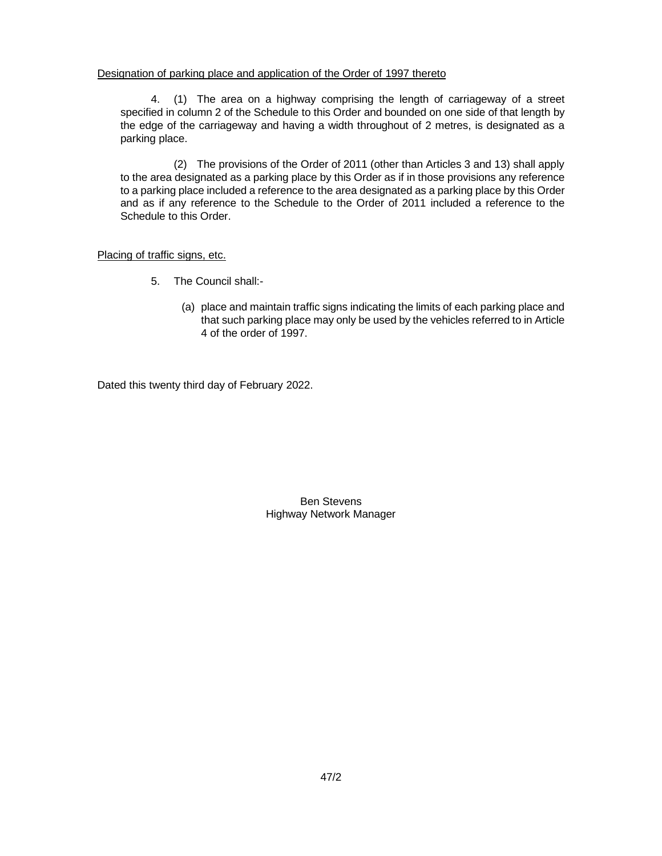#### Designation of parking place and application of the Order of 1997 thereto

4. (1) The area on a highway comprising the length of carriageway of a street specified in column 2 of the Schedule to this Order and bounded on one side of that length by the edge of the carriageway and having a width throughout of 2 metres, is designated as a parking place.

(2) The provisions of the Order of 2011 (other than Articles 3 and 13) shall apply to the area designated as a parking place by this Order as if in those provisions any reference to a parking place included a reference to the area designated as a parking place by this Order and as if any reference to the Schedule to the Order of 2011 included a reference to the Schedule to this Order.

#### Placing of traffic signs, etc.

- 5. The Council shall:-
	- (a) place and maintain traffic signs indicating the limits of each parking place and that such parking place may only be used by the vehicles referred to in Article 4 of the order of 1997.

Dated this twenty third day of February 2022.

Ben Stevens Highway Network Manager